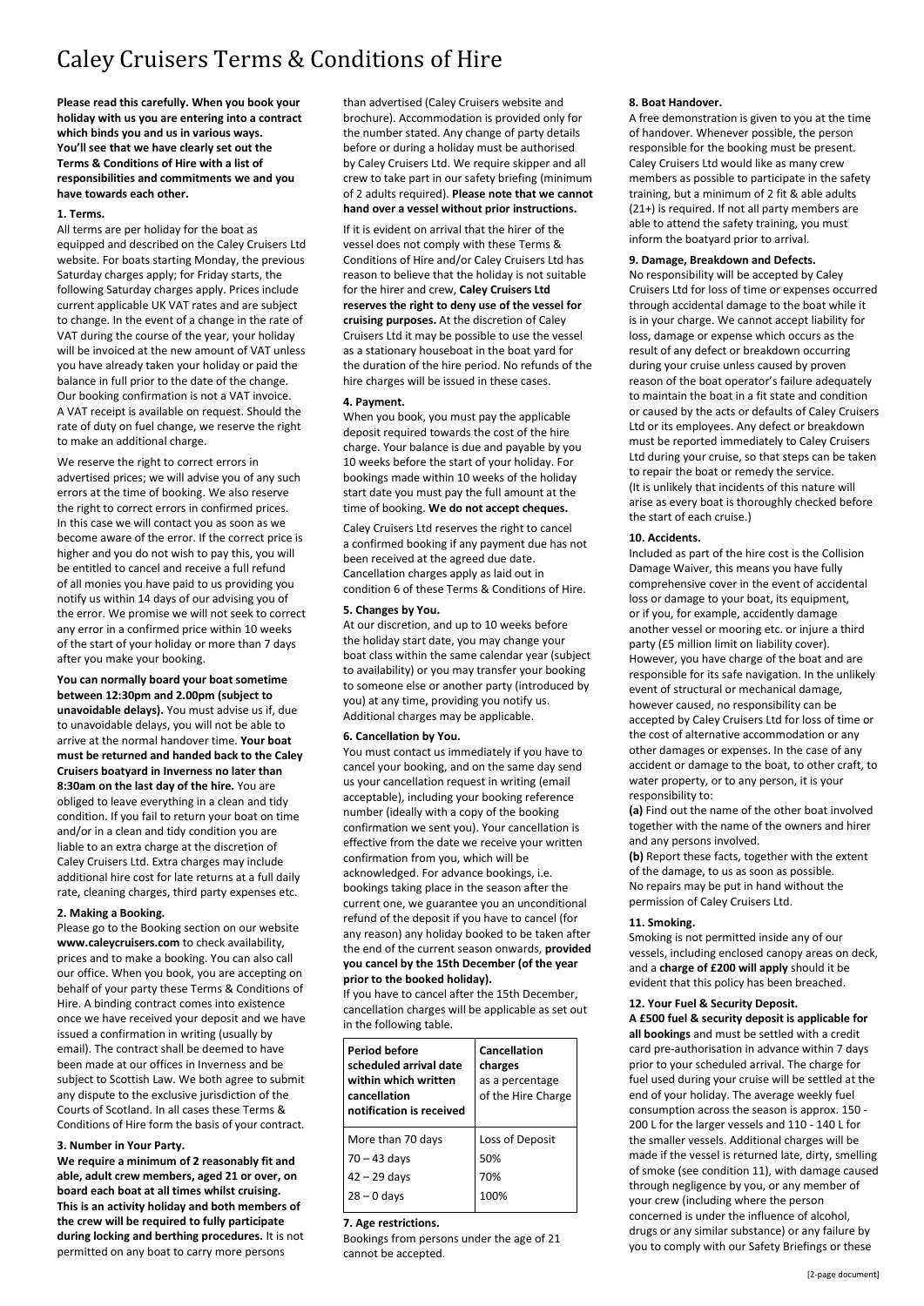# Caley Cruisers Terms & Conditions of Hire

**Please read this carefully. When you book your holiday with us you are entering into a contract which binds you and us in various ways. You'll see that we have clearly set out the Terms & Conditions of Hire with a list of responsibilities and commitments we and you have towards each other.**

## **1. Terms.**

All terms are per holiday for the boat as equipped and described on the Caley Cruisers Ltd website. For boats starting Monday, the previous Saturday charges apply; for Friday starts, the following Saturday charges apply. Prices include current applicable UK VAT rates and are subject to change. In the event of a change in the rate of VAT during the course of the year, your holiday will be invoiced at the new amount of VAT unless you have already taken your holiday or paid the balance in full prior to the date of the change. Our booking confirmation is not a VAT invoice. A VAT receipt is available on request. Should the rate of duty on fuel change, we reserve the right to make an additional charge.

We reserve the right to correct errors in advertised prices; we will advise you of any such errors at the time of booking. We also reserve the right to correct errors in confirmed prices. In this case we will contact you as soon as we become aware of the error. If the correct price is higher and you do not wish to pay this, you will be entitled to cancel and receive a full refund of all monies you have paid to us providing you notify us within 14 days of our advising you of the error. We promise we will not seek to correct any error in a confirmed price within 10 weeks of the start of your holiday or more than 7 days after you make your booking.

**You can normally board your boat sometime between 12:30pm and 2.00pm (subject to unavoidable delays).** You must advise us if, due to unavoidable delays, you will not be able to arrive at the normal handover time. **Your boat must be returned and handed back to the Caley Cruisers boatyard in Inverness no later than 8:30am on the last day of the hire.** You are obliged to leave everything in a clean and tidy condition. If you fail to return your boat on time and/or in a clean and tidy condition you are liable to an extra charge at the discretion of Caley Cruisers Ltd. Extra charges may include additional hire cost for late returns at a full daily rate, cleaning charges, third party expenses etc.

## **2. Making a Booking.**

Please go to the Booking section on our website **www.caleycruisers.com** to check availability, prices and to make a booking. You can also call our office. When you book, you are accepting on behalf of your party these Terms & Conditions of Hire. A binding contract comes into existence once we have received your deposit and we have issued a confirmation in writing (usually by email). The contract shall be deemed to have been made at our offices in Inverness and be subject to Scottish Law. We both agree to submit any dispute to the exclusive jurisdiction of the Courts of Scotland. In all cases these Terms & Conditions of Hire form the basis of your contract.

## **3. Number in Your Party.**

**We require a minimum of 2 reasonably fit and able, adult crew members, aged 21 or over, on board each boat at all times whilst cruising. This is an activity holiday and both members of the crew will be required to fully participate during locking and berthing procedures.** It is not permitted on any boat to carry more persons

than advertised (Caley Cruisers website and brochure). Accommodation is provided only for the number stated. Any change of party details before or during a holiday must be authorised by Caley Cruisers Ltd. We require skipper and all crew to take part in our safety briefing (minimum of 2 adults required). **Please note that we cannot hand over a vessel without prior instructions.**

If it is evident on arrival that the hirer of the vessel does not comply with these Terms & Conditions of Hire and/or Caley Cruisers Ltd has reason to believe that the holiday is not suitable for the hirer and crew, **Caley Cruisers Ltd reserves the right to deny use of the vessel for cruising purposes.** At the discretion of Caley Cruisers Ltd it may be possible to use the vessel as a stationary houseboat in the boat yard for the duration of the hire period. No refunds of the hire charges will be issued in these cases.

#### **4. Payment.**

When you book, you must pay the applicable deposit required towards the cost of the hire charge. Your balance is due and payable by you 10 weeks before the start of your holiday. For bookings made within 10 weeks of the holiday start date you must pay the full amount at the time of booking. **We do not accept cheques.**

Caley Cruisers Ltd reserves the right to cancel a confirmed booking if any payment due has not been received at the agreed due date. Cancellation charges apply as laid out in condition 6 of these Terms & Conditions of Hire.

#### **5. Changes by You.**

At our discretion, and up to 10 weeks before the holiday start date, you may change your boat class within the same calendar year (subject to availability) or you may transfer your booking to someone else or another party (introduced by you) at any time, providing you notify us. Additional charges may be applicable.

#### **6. Cancellation by You.**

You must contact us immediately if you have to cancel your booking, and on the same day send us your cancellation request in writing (email acceptable), including your booking reference number (ideally with a copy of the booking confirmation we sent you). Your cancellation is effective from the date we receive your written confirmation from you, which will be acknowledged. For advance bookings, i.e. bookings taking place in the season after the current one, we guarantee you an unconditional refund of the deposit if you have to cancel (for any reason) any holiday booked to be taken after the end of the current season onwards, **provided you cancel by the 15th December (of the year prior to the booked holiday).**

If you have to cancel after the 15th December, cancellation charges will be applicable as set out in the following table.

| <b>Period before</b><br>scheduled arrival date<br>within which written<br>cancellation<br>notification is received | <b>Cancellation</b><br>charges<br>as a percentage<br>of the Hire Charge |
|--------------------------------------------------------------------------------------------------------------------|-------------------------------------------------------------------------|
| More than 70 days                                                                                                  | Loss of Deposit                                                         |
| $70 - 43$ days                                                                                                     | 50%                                                                     |
| 42 – 29 days                                                                                                       | 70%                                                                     |
| $28 - 0$ days                                                                                                      | 100%                                                                    |

#### **7. Age restrictions.**

Bookings from persons under the age of 21 cannot be accepted.

#### **8. Boat Handover.**

A free demonstration is given to you at the time of handover. Whenever possible, the person responsible for the booking must be present. Caley Cruisers Ltd would like as many crew members as possible to participate in the safety training, but a minimum of 2 fit & able adults (21+) is required. If not all party members are able to attend the safety training, you must inform the boatyard prior to arrival.

## **9. Damage, Breakdown and Defects.**

No responsibility will be accepted by Caley Cruisers Ltd for loss of time or expenses occurred through accidental damage to the boat while it is in your charge. We cannot accept liability for loss, damage or expense which occurs as the result of any defect or breakdown occurring during your cruise unless caused by proven reason of the boat operator's failure adequately to maintain the boat in a fit state and condition or caused by the acts or defaults of Caley Cruisers Ltd or its employees. Any defect or breakdown must be reported immediately to Caley Cruisers Ltd during your cruise, so that steps can be taken to repair the boat or remedy the service. (It is unlikely that incidents of this nature will arise as every boat is thoroughly checked before the start of each cruise.)

#### **10. Accidents.**

Included as part of the hire cost is the Collision Damage Waiver, this means you have fully comprehensive cover in the event of accidental loss or damage to your boat, its equipment. or if you, for example, accidently damage another vessel or mooring etc. or injure a third party (£5 million limit on liability cover). However, you have charge of the boat and are responsible for its safe navigation. In the unlikely event of structural or mechanical damage, however caused, no responsibility can be accepted by Caley Cruisers Ltd for loss of time or the cost of alternative accommodation or any other damages or expenses. In the case of any accident or damage to the boat, to other craft, to water property, or to any person, it is your responsibility to:

**(a)** Find out the name of the other boat involved together with the name of the owners and hirer and any persons involved.

**(b)** Report these facts, together with the extent of the damage, to us as soon as possible. No repairs may be put in hand without the permission of Caley Cruisers Ltd.

## **11. Smoking.**

Smoking is not permitted inside any of our vessels, including enclosed canopy areas on deck, and a **charge of £200 will apply** should it be evident that this policy has been breached.

## **12. Your Fuel & Security Deposit.**

**A £500 fuel & security deposit is applicable for all bookings** and must be settled with a credit card pre-authorisation in advance within 7 days prior to your scheduled arrival. The charge for fuel used during your cruise will be settled at the end of your holiday. The average weekly fuel consumption across the season is approx. 150 - 200 L for the larger vessels and 110 - 140 L for the smaller vessels. Additional charges will be made if the vessel is returned late, dirty, smelling of smoke (see condition 11), with damage caused through negligence by you, or any member of your crew (including where the person concerned is under the influence of alcohol, drugs or any similar substance) or any failure by you to comply with our Safety Briefings or these